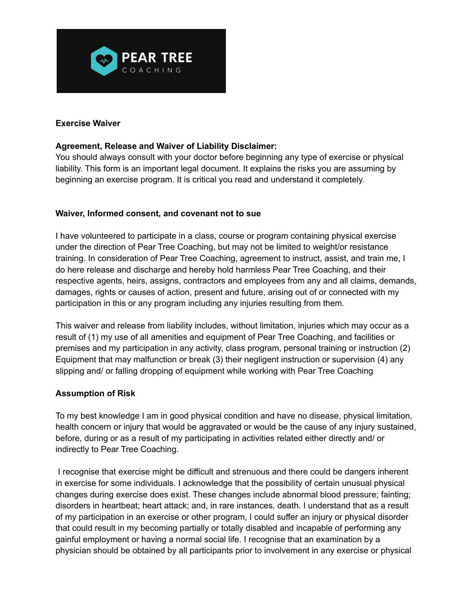

## **Exercise Waiver**

## **Agreement, Release and Waiver of Liability Disclaimer:**

You should always consult with your doctor before beginning any type of exercise or physical liability. This form is an important legal document. It explains the risks you are assuming by beginning an exercise program. It is critical you read and understand it completely.

## **Waiver, Informed consent, and covenant not to sue**

I have volunteered to participate in a class, course or program containing physical exercise under the direction of Pear Tree Coaching, but may not be limited to weight/or resistance training. In consideration of Pear Tree Coaching, agreement to instruct, assist, and train me, I do here release and discharge and hereby hold harmless Pear Tree Coaching, and their respective agents, heirs, assigns, contractors and employees from any and all claims, demands, damages, rights or causes of action, present and future, arising out of or connected with my participation in this or any program including any injuries resulting from them.

This waiver and release from liability includes, without limitation, injuries which may occur as a result of (1) my use of all amenities and equipment of Pear Tree Coaching, and facilities or premises and my participation in any activity, class program, personal training or instruction (2) Equipment that may malfunction or break (3) their negligent instruction or supervision (4) any slipping and/ or falling dropping of equipment while working with Pear Tree Coaching

## **Assumption of Risk**

To my best knowledge I am in good physical condition and have no disease, physical limitation, health concern or injury that would be aggravated or would be the cause of any injury sustained, before, during or as a result of my participating in activities related either directly and/ or indirectly to Pear Tree Coaching.

I recognise that exercise might be difficult and strenuous and there could be dangers inherent in exercise for some individuals. I acknowledge that the possibility of certain unusual physical changes during exercise does exist. These changes include abnormal blood pressure; fainting; disorders in heartbeat; heart attack; and, in rare instances, death. I understand that as a result of my participation in an exercise or other program, I could suffer an injury or physical disorder that could result in my becoming partially or totally disabled and incapable of performing any gainful employment or having a normal social life. I recognise that an examination by a physician should be obtained by all participants prior to involvement in any exercise or physical